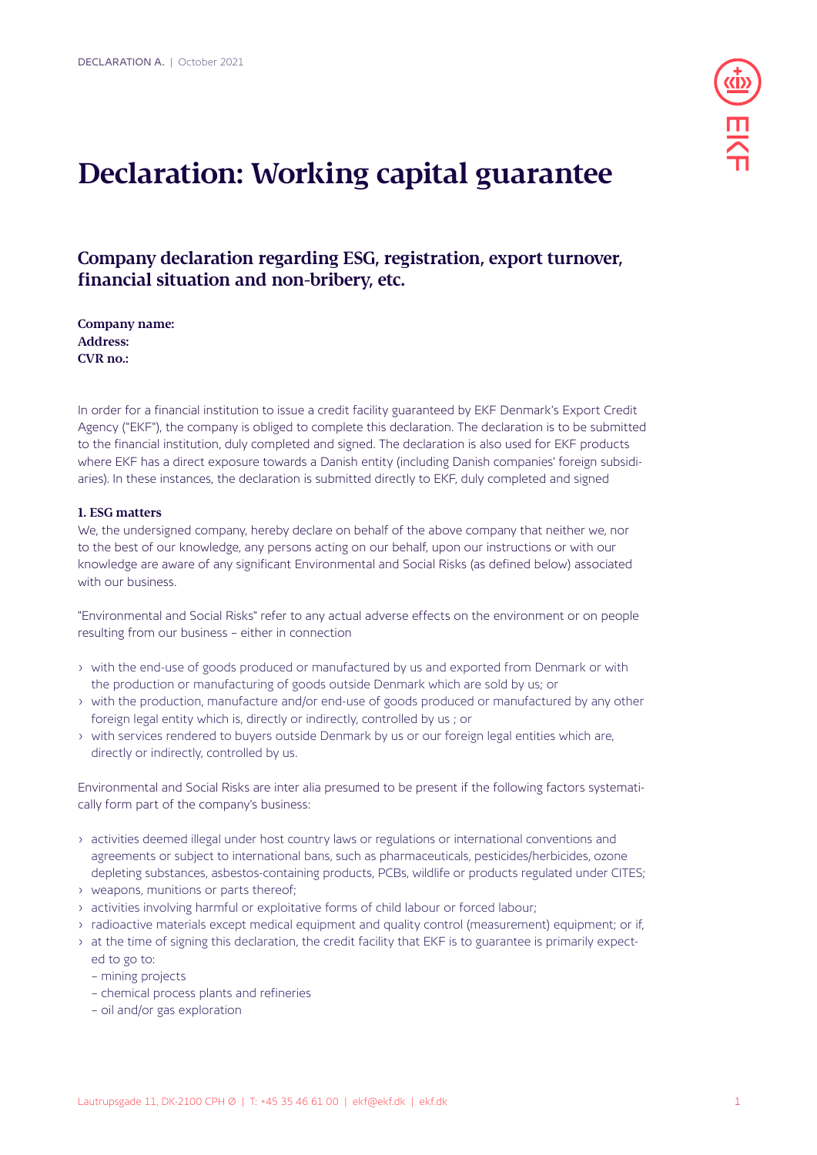

# **Declaration: Working capital guarantee**

**Company declaration regarding ESG, registration, export turnover, financial situation and non-bribery, etc.**

**Company name: Address: CVR no.:**

In order for a financial institution to issue a credit facility guaranteed by EKF Denmark's Export Credit Agency ("EKF"), the company is obliged to complete this declaration. The declaration is to be submitted to the financial institution, duly completed and signed. The declaration is also used for EKF products where EKF has a direct exposure towards a Danish entity (including Danish companies' foreign subsidiaries). In these instances, the declaration is submitted directly to EKF, duly completed and signed

## **1. ESG matters**

We, the undersigned company, hereby declare on behalf of the above company that neither we, nor to the best of our knowledge, any persons acting on our behalf, upon our instructions or with our knowledge are aware of any significant Environmental and Social Risks (as defined below) associated with our business.

"Environmental and Social Risks" refer to any actual adverse effects on the environment or on people resulting from our business – either in connection

- with the end-use of goods produced or manufactured by us and exported from Denmark or with the production or manufacturing of goods outside Denmark which are sold by us; or
- with the production, manufacture and/or end-use of goods produced or manufactured by any other foreign legal entity which is, directly or indirectly, controlled by us ; or
- with services rendered to buyers outside Denmark by us or our foreign legal entities which are, directly or indirectly, controlled by us.

Environmental and Social Risks are inter alia presumed to be present if the following factors systematically form part of the company's business:

- activities deemed illegal under host country laws or regulations or international conventions and agreements or subject to international bans, such as pharmaceuticals, pesticides/herbicides, ozone depleting substances, asbestos-containing products, PCBs, wildlife or products regulated under CITES;
- weapons, munitions or parts thereof;
- activities involving harmful or exploitative forms of child labour or forced labour;
- radioactive materials except medical equipment and quality control (measurement) equipment; or if,
- at the time of signing this declaration, the credit facility that EKF is to guarantee is primarily expected to go to:
	- mining projects
	- chemical process plants and refineries
	- oil and/or gas exploration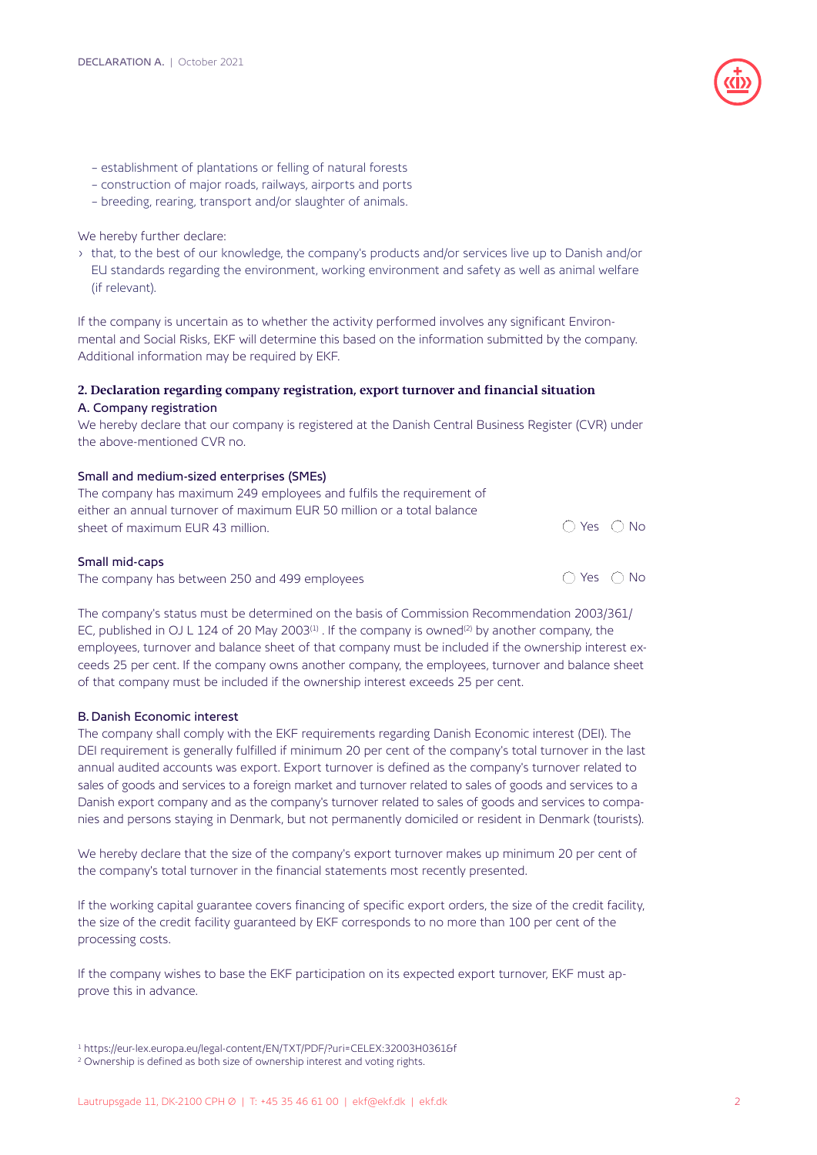

- establishment of plantations or felling of natural forests
- construction of major roads, railways, airports and ports
- breeding, rearing, transport and/or slaughter of animals.

We hereby further declare:

• that, to the best of our knowledge, the company's products and/or services live up to Danish and/or EU standards regarding the environment, working environment and safety as well as animal welfare (if relevant).

If the company is uncertain as to whether the activity performed involves any significant Environmental and Social Risks, EKF will determine this based on the information submitted by the company. Additional information may be required by EKF.

# **2. Declaration regarding company registration, export turnover and financial situation** A. Company registration

We hereby declare that our company is registered at the Danish Central Business Register (CVR) under the above-mentioned CVR no.

# Small and medium-sized enterprises (SMEs)

| The company has maximum 249 employees and fulfils the requirement of<br>either an annual turnover of maximum EUR 50 million or a total balance |                            |  |
|------------------------------------------------------------------------------------------------------------------------------------------------|----------------------------|--|
|                                                                                                                                                |                            |  |
| sheet of maximum EUR 43 million.                                                                                                               | $\bigcap$ Yes $\bigcap$ No |  |
| Small mid-caps                                                                                                                                 |                            |  |

The company has between 250 and 499 employees  $\bigcirc$  Yes  $\bigcirc$  No

The company's status must be determined on the basis of Commission Recommendation 2003/361/ EC, published in OJ L 124 of 20 May 2003<sup>(1)</sup>. If the company is owned<sup>(2)</sup> by another company, the employees, turnover and balance sheet of that company must be included if the ownership interest exceeds 25 per cent. If the company owns another company, the employees, turnover and balance sheet of that company must be included if the ownership interest exceeds 25 per cent.

# B. Danish Economic interest

The company shall comply with the EKF requirements regarding Danish Economic interest (DEI). The DEI requirement is generally fulfilled if minimum 20 per cent of the company's total turnover in the last annual audited accounts was export. Export turnover is defined as the company's turnover related to sales of goods and services to a foreign market and turnover related to sales of goods and services to a Danish export company and as the company's turnover related to sales of goods and services to companies and persons staying in Denmark, but not permanently domiciled or resident in Denmark (tourists).

We hereby declare that the size of the company's export turnover makes up minimum 20 per cent of the company's total turnover in the financial statements most recently presented.

If the working capital guarantee covers financing of specific export orders, the size of the credit facility, the size of the credit facility guaranteed by EKF corresponds to no more than 100 per cent of the processing costs.

If the company wishes to base the EKF participation on its expected export turnover, EKF must approve this in advance.

<sup>1</sup> https://eur-lex.europa.eu/legal-content/EN/TXT/PDF/?uri=CELEX:32003H0361&f

<sup>&</sup>lt;sup>2</sup> Ownership is defined as both size of ownership interest and voting rights.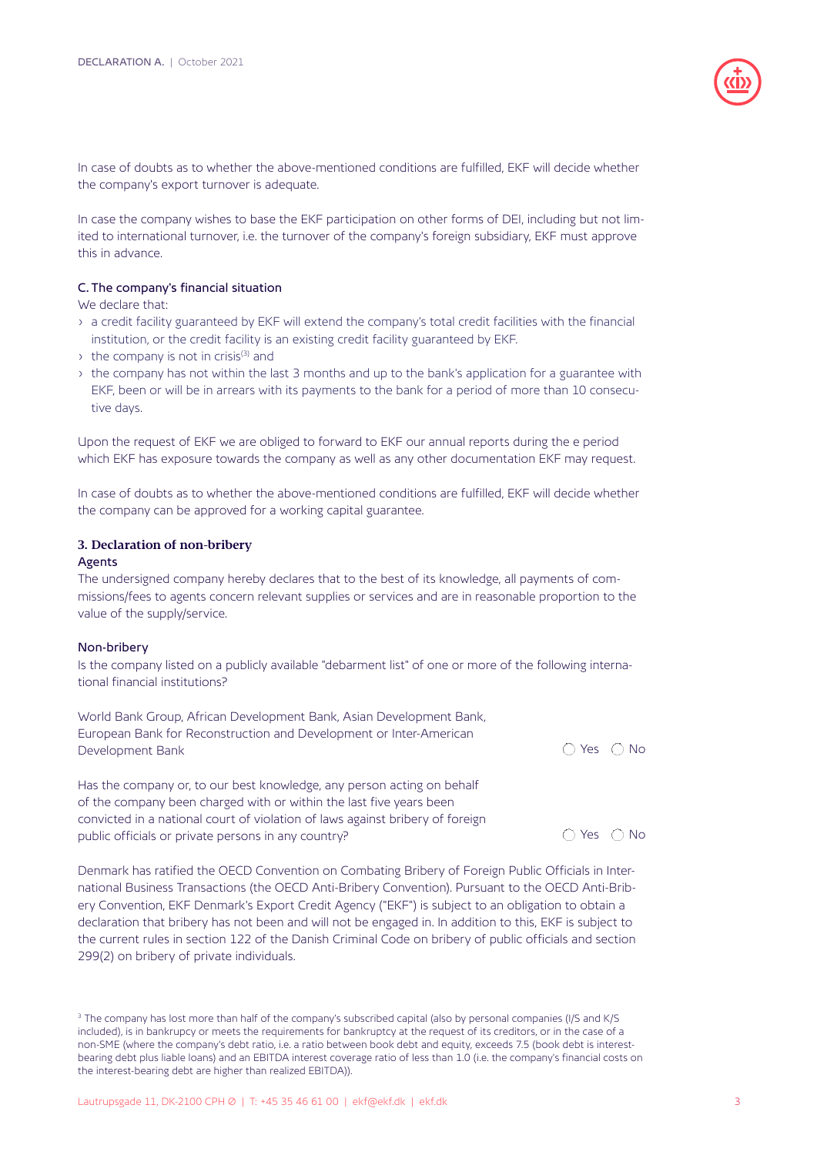

In case of doubts as to whether the above-mentioned conditions are fulfilled, EKF will decide whether the company's export turnover is adequate.

In case the company wishes to base the EKF participation on other forms of DEI, including but not limited to international turnover, i.e. the turnover of the company's foreign subsidiary, EKF must approve this in advance.

## C. The company's financial situation

We declare that:

- a credit facility guaranteed by EKF will extend the company's total credit facilities with the financial institution, or the credit facility is an existing credit facility guaranteed by EKF.
- $\rightarrow$  the company is not in crisis<sup>(3)</sup> and
- the company has not within the last 3 months and up to the bank's application for a guarantee with EKF, been or will be in arrears with its payments to the bank for a period of more than 10 consecutive days.

Upon the request of EKF we are obliged to forward to EKF our annual reports during the e period which EKF has exposure towards the company as well as any other documentation EKF may request.

In case of doubts as to whether the above-mentioned conditions are fulfilled, EKF will decide whether the company can be approved for a working capital guarantee.

#### **3. Declaration of non-bribery**

#### Agents

The undersigned company hereby declares that to the best of its knowledge, all payments of commissions/fees to agents concern relevant supplies or services and are in reasonable proportion to the value of the supply/service.

#### Non-bribery

Is the company listed on a publicly available "debarment list" of one or more of the following international financial institutions?

World Bank Group, African Development Bank, Asian Development Bank, European Bank for Reconstruction and Development or Inter-American Development Bank Yes No

Has the company or, to our best knowledge, any person acting on behalf of the company been charged with or within the last five years been convicted in a national court of violation of laws against bribery of foreign public officials or private persons in any country?  $\bigcirc$  Yes  $\bigcirc$  No

Denmark has ratified the OECD Convention on Combating Bribery of Foreign Public Officials in International Business Transactions (the OECD Anti-Bribery Convention). Pursuant to the OECD Anti-Bribery Convention, EKF Denmark's Export Credit Agency ("EKF") is subject to an obligation to obtain a declaration that bribery has not been and will not be engaged in. In addition to this, EKF is subject to the current rules in section 122 of the Danish Criminal Code on bribery of public officials and section 299(2) on bribery of private individuals.

<sup>&</sup>lt;sup>3</sup> The company has lost more than half of the company's subscribed capital (also by personal companies (I/S and K/S included), is in bankrupcy or meets the requirements for bankruptcy at the request of its creditors, or in the case of a non-SME (where the company's debt ratio, i.e. a ratio between book debt and equity, exceeds 7.5 (book debt is interestbearing debt plus liable loans) and an EBITDA interest coverage ratio of less than 1.0 (i.e. the company's financial costs on the interest-bearing debt are higher than realized EBITDA)).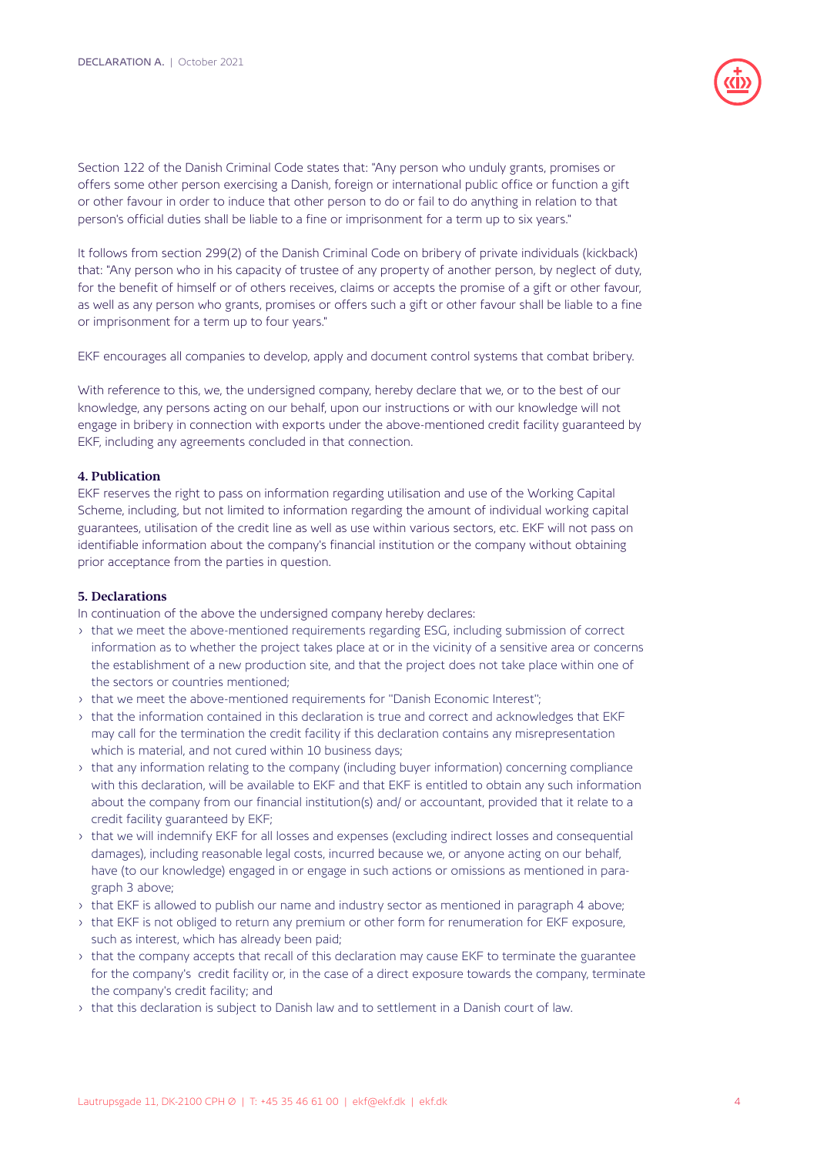

Section 122 of the Danish Criminal Code states that: "Any person who unduly grants, promises or offers some other person exercising a Danish, foreign or international public office or function a gift or other favour in order to induce that other person to do or fail to do anything in relation to that person's official duties shall be liable to a fine or imprisonment for a term up to six years."

It follows from section 299(2) of the Danish Criminal Code on bribery of private individuals (kickback) that: "Any person who in his capacity of trustee of any property of another person, by neglect of duty, for the benefit of himself or of others receives, claims or accepts the promise of a gift or other favour, as well as any person who grants, promises or offers such a gift or other favour shall be liable to a fine or imprisonment for a term up to four years."

EKF encourages all companies to develop, apply and document control systems that combat bribery.

With reference to this, we, the undersigned company, hereby declare that we, or to the best of our knowledge, any persons acting on our behalf, upon our instructions or with our knowledge will not engage in bribery in connection with exports under the above-mentioned credit facility guaranteed by EKF, including any agreements concluded in that connection.

# **4. Publication**

EKF reserves the right to pass on information regarding utilisation and use of the Working Capital Scheme, including, but not limited to information regarding the amount of individual working capital guarantees, utilisation of the credit line as well as use within various sectors, etc. EKF will not pass on identifiable information about the company's financial institution or the company without obtaining prior acceptance from the parties in question.

## **5. Declarations**

In continuation of the above the undersigned company hereby declares:

- that we meet the above-mentioned requirements regarding ESG, including submission of correct information as to whether the project takes place at or in the vicinity of a sensitive area or concerns the establishment of a new production site, and that the project does not take place within one of the sectors or countries mentioned;
- that we meet the above-mentioned requirements for ''Danish Economic Interest'';
- that the information contained in this declaration is true and correct and acknowledges that EKF may call for the termination the credit facility if this declaration contains any misrepresentation which is material, and not cured within 10 business days;
- that any information relating to the company (including buyer information) concerning compliance with this declaration, will be available to EKF and that EKF is entitled to obtain any such information about the company from our financial institution(s) and/ or accountant, provided that it relate to a credit facility guaranteed by EKF;
- that we will indemnify EKF for all losses and expenses (excluding indirect losses and consequential damages), including reasonable legal costs, incurred because we, or anyone acting on our behalf, have (to our knowledge) engaged in or engage in such actions or omissions as mentioned in paragraph 3 above;
- that EKF is allowed to publish our name and industry sector as mentioned in paragraph 4 above;
- that EKF is not obliged to return any premium or other form for renumeration for EKF exposure, such as interest, which has already been paid;
- that the company accepts that recall of this declaration may cause EKF to terminate the guarantee for the company's credit facility or, in the case of a direct exposure towards the company, terminate the company's credit facility; and
- that this declaration is subject to Danish law and to settlement in a Danish court of law.